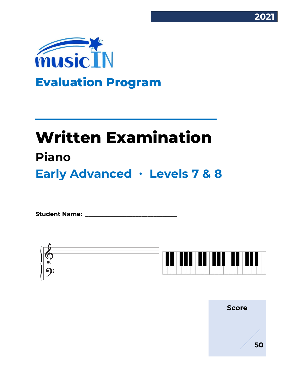



# **Written Examination Piano Early Advanced ∙ Levels 7 & 8**

Student Name:



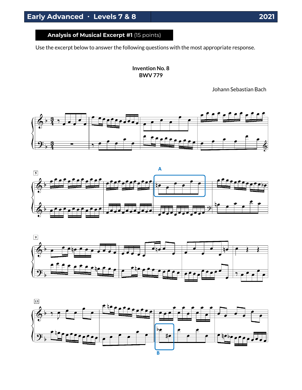**Analysis of Musical Excerpt #1** (15 points)

Use the excerpt below to answer the following questions with the most appropriate response.

**Invention No. 8 BWV 779**

Johann Sebastian Bach







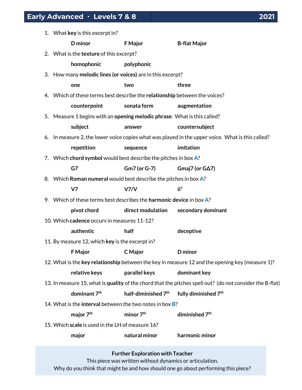| 1. What key is this excerpt in?                                             |                                 |                                                                                                          |
|-----------------------------------------------------------------------------|---------------------------------|----------------------------------------------------------------------------------------------------------|
| <b>D</b> minor                                                              | <b>F</b> Major                  | <b>B-flat Major</b>                                                                                      |
| 2. What is the texture of this excerpt?                                     |                                 |                                                                                                          |
| homophonic                                                                  | polyphonic                      |                                                                                                          |
| 3. How many melodic lines (or voices) are in this excerpt?                  |                                 |                                                                                                          |
| one                                                                         | two                             | three                                                                                                    |
| 4. Which of these terms best describe the relationship between the voices?  |                                 |                                                                                                          |
| counterpoint                                                                | sonata form                     | augmentation                                                                                             |
| 5. Measure 1 begins with an opening melodic phrase. What is this called?    |                                 |                                                                                                          |
| subject                                                                     | answer                          | countersubject                                                                                           |
|                                                                             |                                 | 6. In measure 2, the lower voice copies what was played in the upper voice. What is this called?         |
| repetition                                                                  | sequence                        | imitation                                                                                                |
| 7. Which chord symbol would best describe the pitches in box A?             |                                 |                                                                                                          |
| G7                                                                          | Gm7 (or G-7)                    | Gmaj7 (or $G\Delta$ 7)                                                                                   |
| 8. Which Roman numeral would best describe the pitches in box A?            |                                 |                                                                                                          |
| V <sub>7</sub>                                                              | V7/V                            | ii <sup>7</sup>                                                                                          |
| 9. Which of these terms best describes the <b>harmonic device</b> in box A? |                                 |                                                                                                          |
| pivot chord                                                                 | direct modulation               | secondary dominant                                                                                       |
| 10. Which cadence occurs in measures 11-12?                                 |                                 |                                                                                                          |
| authentic                                                                   | half                            | deceptive                                                                                                |
| 11. By measure 12, which key is the excerpt in?                             |                                 |                                                                                                          |
| <b>F</b> Major                                                              | C Major                         | D minor                                                                                                  |
|                                                                             |                                 | 12. What is the key relationship between the key in measure 12 and the opening key (measure 1)?          |
| relative keys                                                               | parallel keys                   | dominant key                                                                                             |
|                                                                             |                                 | 13. In measure 15, what is quality of the chord that the pitches spell out? (do not consider the B-flat) |
| dominant 7 <sup>th</sup>                                                    | half-diminished 7 <sup>th</sup> | fully diminished 7 <sup>th</sup>                                                                         |

- 14. What is the **interval** between the two notes in box **B**?
	- **major 7th minor 7th diminished 7th**
- 15. Which **scale** is used in the LH of measure 16?
	- **major natural minor harmonic minor**

**Further Exploration with Teacher**

This piece was written without dynamics or articulation. Why do you think that might be and how should one go about performing this piece?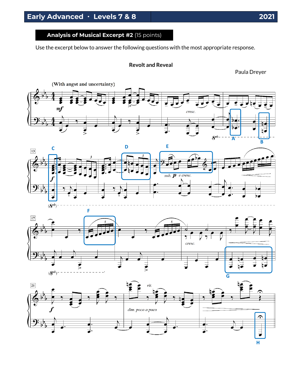## **Analysis of Musical Excerpt #2** (15 points)

Use the excerpt below to answer the following questions with the most appropriate response.

#### **Revolt and Reveal**

Paula Dreyer







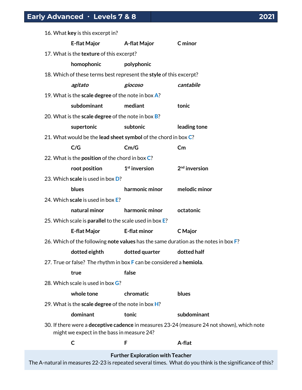| 16. What key is this excerpt in?                                                    |                     |                                                                                            |
|-------------------------------------------------------------------------------------|---------------------|--------------------------------------------------------------------------------------------|
| <b>E-flat Major</b>                                                                 | A-flat Major        | C minor                                                                                    |
| 17. What is the texture of this excerpt?                                            |                     |                                                                                            |
| homophonic                                                                          | polyphonic          |                                                                                            |
| 18. Which of these terms best represent the style of this excerpt?                  |                     |                                                                                            |
| agitato                                                                             | giocoso             | cantabile                                                                                  |
| 19. What is the scale degree of the note in box A?                                  |                     |                                                                                            |
| subdominant                                                                         | mediant             | tonic                                                                                      |
| 20. What is the scale degree of the note in box B?                                  |                     |                                                                                            |
| supertonic                                                                          | subtonic            | leading tone                                                                               |
| 21. What would be the lead sheet symbol of the chord in box C?                      |                     |                                                                                            |
| C/G                                                                                 | Cm/G                | Cm                                                                                         |
| 22. What is the <b>position</b> of the chord in box C?                              |                     |                                                                                            |
| root position                                                                       | $1st$ inversion     | $2nd$ inversion                                                                            |
| 23. Which scale is used in box D?                                                   |                     |                                                                                            |
| blues                                                                               | harmonic minor      | melodic minor                                                                              |
| 24. Which scale is used in box E?                                                   |                     |                                                                                            |
| natural minor                                                                       | harmonic minor      | octatonic                                                                                  |
| 25. Which scale is parallel to the scale used in box E?                             |                     |                                                                                            |
| <b>E-flat Major</b>                                                                 | <b>E-flat minor</b> | C Major                                                                                    |
| 26. Which of the following note values has the same duration as the notes in box F? |                     |                                                                                            |
| dotted eighth                                                                       | dotted quarter      | dotted half                                                                                |
| 27. True or false? The rhythm in box F can be considered a hemiola.                 |                     |                                                                                            |
| true                                                                                | false               |                                                                                            |
| 28. Which scale is used in box G?                                                   |                     |                                                                                            |
| whole tone                                                                          | chromatic           | blues                                                                                      |
| 29. What is the scale degree of the note in box $H$ ?                               |                     |                                                                                            |
| dominant                                                                            | tonic               | subdominant                                                                                |
| might we expect in the bass in measure 24?                                          |                     | 30. If there were a deceptive cadence in measures 23-24 (measure 24 not shown), which note |
| C                                                                                   | F                   | A-flat                                                                                     |
|                                                                                     |                     |                                                                                            |

**Further Exploration with Teacher**

The A-natural in measures 22-23 is repeated several times. What do you think is the significance of this?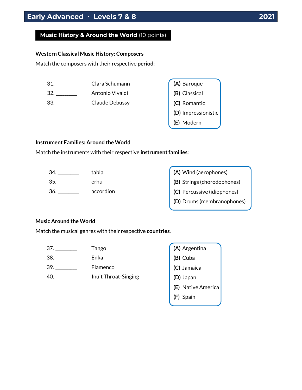## **Music History & Around the World** (10 points)

#### **Western Classical Music History: Composers**

Match the composers with their respective **period**:

31. \_\_\_\_\_\_\_\_\_\_ Clara Schumann

32. \_\_\_\_\_\_\_\_\_\_ Antonio Vivaldi

33. \_\_\_\_\_\_\_\_\_\_ Claude Debussy

| (A) Baroque         |
|---------------------|
| (B) Classical       |
| (C) Romantic        |
| (D) Impressionistic |
| (E) Modern          |

#### **Instrument Families: Around the World**

Match the instruments with their respective **instrument families**:

| tabla     | (A) Wind (aerophones)       |
|-----------|-----------------------------|
| erhu      | (B) Strings (chorodophones) |
| accordion | (C) Percussive (idiophones) |
|           | (D) Drums (membranophones)  |

#### **Music Around the World**

Match the musical genres with their respective **countries**.

37. \_\_\_\_\_\_\_\_\_\_ Tango

38. \_\_\_\_\_\_\_\_\_\_ Enka

39. \_\_\_\_\_\_\_\_\_\_ Flamenco

40. \_\_\_\_\_\_\_\_\_\_ Inuit Throat-Singing

| (A) Argentina      |
|--------------------|
| (B) Cuba           |
| (C) Jamaica        |
| (D) Japan          |
| (E) Native America |
| (F) Spain          |
|                    |